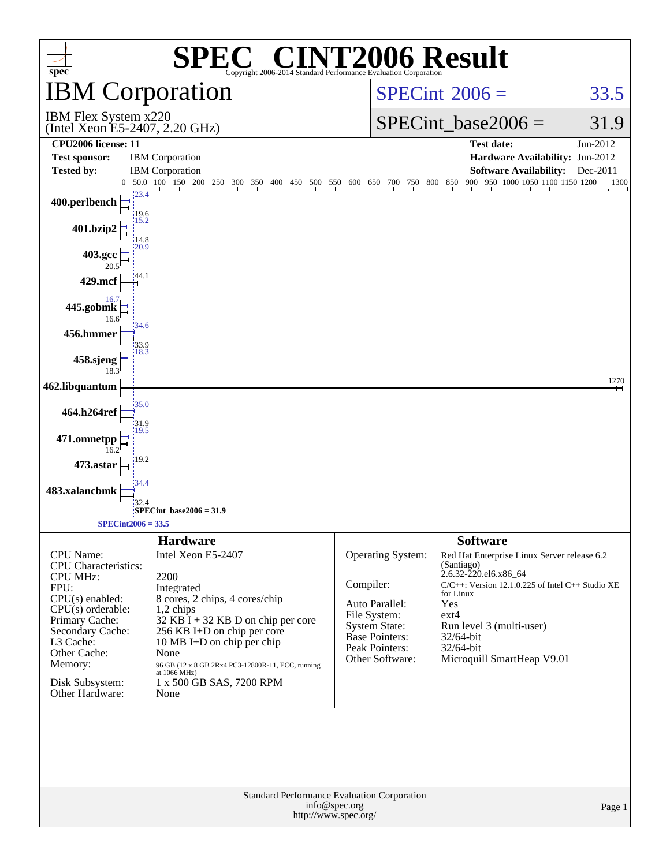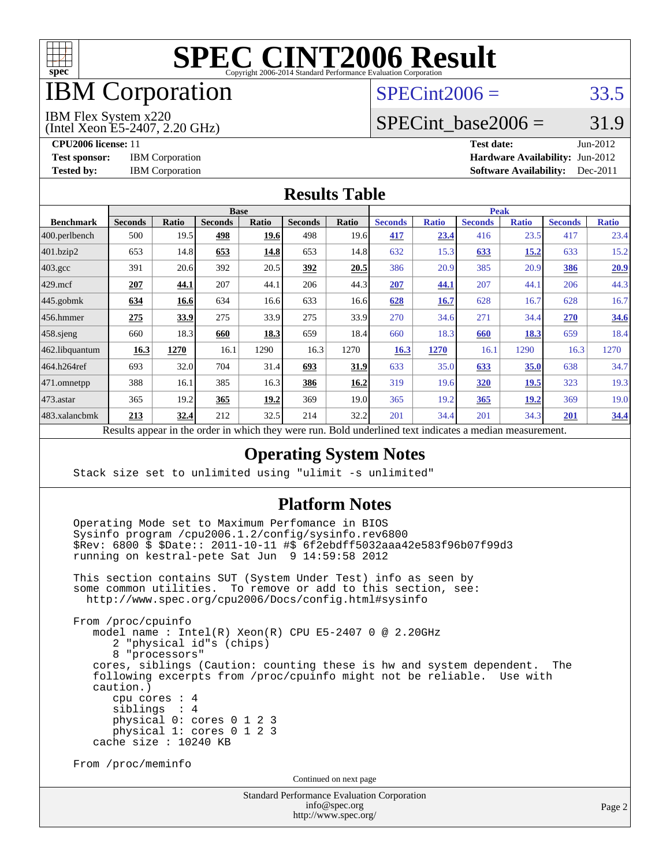

# IBM Corporation

## $SPECint2006 = 33.5$  $SPECint2006 = 33.5$

#### IBM Flex System x220

(Intel Xeon E5-2407, 2.20 GHz)

SPECint base2006 =  $31.9$ 

**[CPU2006 license:](http://www.spec.org/auto/cpu2006/Docs/result-fields.html#CPU2006license)** 11 **[Test date:](http://www.spec.org/auto/cpu2006/Docs/result-fields.html#Testdate)** Jun-2012 **[Test sponsor:](http://www.spec.org/auto/cpu2006/Docs/result-fields.html#Testsponsor)** IBM Corporation **IBM** Corporation **[Hardware Availability:](http://www.spec.org/auto/cpu2006/Docs/result-fields.html#HardwareAvailability)** Jun-2012 **[Tested by:](http://www.spec.org/auto/cpu2006/Docs/result-fields.html#Testedby)** IBM Corporation **[Software Availability:](http://www.spec.org/auto/cpu2006/Docs/result-fields.html#SoftwareAvailability)** Dec-2011

### **[Results Table](http://www.spec.org/auto/cpu2006/Docs/result-fields.html#ResultsTable)**

|                                                    | <b>Base</b>    |                   |                |              |                |       | <b>Peak</b>                 |              |                |              |                |              |
|----------------------------------------------------|----------------|-------------------|----------------|--------------|----------------|-------|-----------------------------|--------------|----------------|--------------|----------------|--------------|
| <b>Benchmark</b>                                   | <b>Seconds</b> | <b>Ratio</b>      | <b>Seconds</b> | <b>Ratio</b> | <b>Seconds</b> | Ratio | <b>Seconds</b>              | <b>Ratio</b> | <b>Seconds</b> | <b>Ratio</b> | <b>Seconds</b> | <b>Ratio</b> |
| 400.perlbench                                      | 500            | 19.5              | 498            | 19.6         | 498            | 19.6  | 417                         | 23.4         | 416            | 23.5         | 417            | 23.4         |
| 401.bzip2                                          | 653            | 14.8              | 653            | 14.8         | 653            | 14.8  | 632                         | 15.3         | 633            | 15.2         | 633            | 15.2         |
| $403.\mathrm{gcc}$                                 | 391            | 20.6              | 392            | 20.5         | 392            | 20.5  | 386                         | 20.9         | 385            | 20.9         | <b>386</b>     | 20.9         |
| $429$ .mcf                                         | 207            | 44.1              | 207            | 44.1         | 206            | 44.3  | 207                         | 44.1         | 207            | 44.1         | 206            | 44.3         |
| $445$ .gobmk                                       | 634            | 16.6              | 634            | 16.6         | 633            | 16.6  | 628                         | 16.7         | 628            | 16.7         | 628            | 16.7         |
| $456.$ hmmer                                       | 275            | 33.9              | 275            | 33.9         | 275            | 33.9  | 270                         | 34.6         | 271            | 34.4         | 270            | 34.6         |
| $458$ .sjeng                                       | 660            | 18.3              | 660            | 18.3         | 659            | 18.4  | 660                         | 18.3         | 660            | 18.3         | 659            | 18.4         |
| 462.libquantum                                     | 16.3           | 1270              | 16.1           | 1290         | 16.3           | 1270  | 16.3                        | 1270         | 16.1           | 1290         | 16.3           | 1270         |
| 464.h264ref                                        | 693            | 32.0              | 704            | 31.4         | 693            | 31.9  | 633                         | 35.0         | 633            | 35.0         | 638            | 34.7         |
|                                                    | 388            | 16.1              | 385            | 16.3         | 386            | 16.2  | 319                         | 19.6         | 320            | <b>19.5</b>  | 323            | 19.3         |
|                                                    | 365            | 19.2              | 365            | 19.2         | 369            | 19.0  | 365                         | 19.2         | 365            | 19.2         | 369            | 19.0         |
|                                                    | 213            | <u>32.4</u>       | 212            | 32.5         | 214            | 32.2  | 201                         | 34.4         | 201            | 34.3         | 201            | 34.4         |
| 471.omnetpp<br>$473.$ astar<br>483.xalancbmk<br>D. | 1.             | $\cdot$ $\cdot$ 1 |                | 1.1.1        |                | T11   | $1 \quad 1$<br>$\mathbf{1}$ | $\mathbf{1}$ | $\cdot$        |              |                |              |

Results appear in the [order in which they were run.](http://www.spec.org/auto/cpu2006/Docs/result-fields.html#RunOrder) Bold underlined text [indicates a median measurement.](http://www.spec.org/auto/cpu2006/Docs/result-fields.html#Median)

### **[Operating System Notes](http://www.spec.org/auto/cpu2006/Docs/result-fields.html#OperatingSystemNotes)**

Stack size set to unlimited using "ulimit -s unlimited"

### **[Platform Notes](http://www.spec.org/auto/cpu2006/Docs/result-fields.html#PlatformNotes)**

 Operating Mode set to Maximum Perfomance in BIOS Sysinfo program /cpu2006.1.2/config/sysinfo.rev6800 \$Rev: 6800 \$ \$Date:: 2011-10-11 #\$ 6f2ebdff5032aaa42e583f96b07f99d3 running on kestral-pete Sat Jun 9 14:59:58 2012

 This section contains SUT (System Under Test) info as seen by some common utilities. To remove or add to this section, see: <http://www.spec.org/cpu2006/Docs/config.html#sysinfo>

 From /proc/cpuinfo model name : Intel(R) Xeon(R) CPU E5-2407 0 @ 2.20GHz 2 "physical id"s (chips) 8 "processors" cores, siblings (Caution: counting these is hw and system dependent. The following excerpts from /proc/cpuinfo might not be reliable. Use with caution.) cpu cores : 4 siblings : 4 physical 0: cores 0 1 2 3 physical 1: cores 0 1 2 3 cache size : 10240 KB

From /proc/meminfo

Continued on next page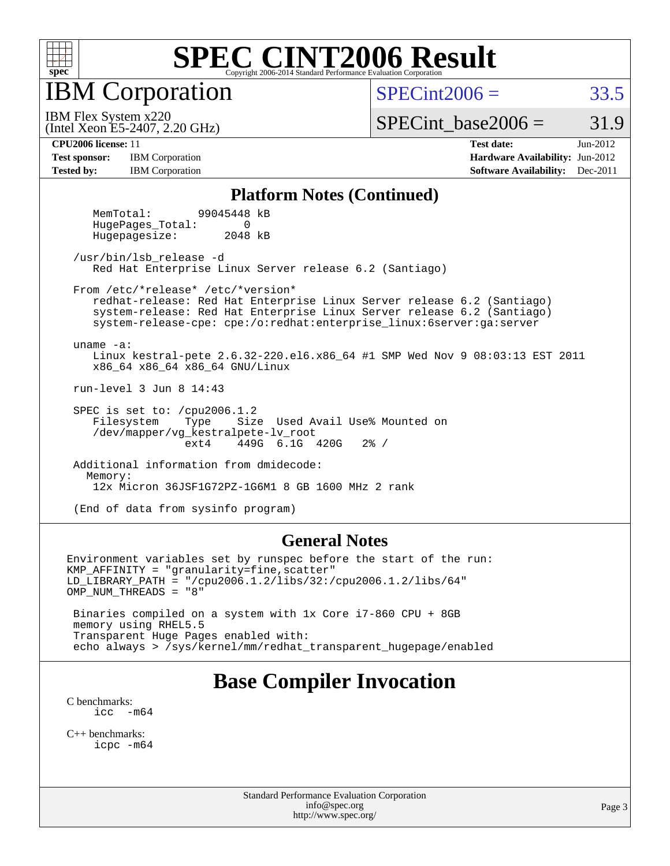

IBM Corporation

 $SPECint2006 = 33.5$  $SPECint2006 = 33.5$ 

(Intel Xeon E5-2407, 2.20 GHz) IBM Flex System x220

SPECint base2006 =  $31.9$ 

**[Test sponsor:](http://www.spec.org/auto/cpu2006/Docs/result-fields.html#Testsponsor)** IBM Corporation **IBM** Corporation **[Hardware Availability:](http://www.spec.org/auto/cpu2006/Docs/result-fields.html#HardwareAvailability)** Jun-2012 **[Tested by:](http://www.spec.org/auto/cpu2006/Docs/result-fields.html#Testedby)** IBM Corporation **[Software Availability:](http://www.spec.org/auto/cpu2006/Docs/result-fields.html#SoftwareAvailability)** Dec-2011

**[CPU2006 license:](http://www.spec.org/auto/cpu2006/Docs/result-fields.html#CPU2006license)** 11 **[Test date:](http://www.spec.org/auto/cpu2006/Docs/result-fields.html#Testdate)** Jun-2012

#### **[Platform Notes \(Continued\)](http://www.spec.org/auto/cpu2006/Docs/result-fields.html#PlatformNotes)**

 MemTotal: 99045448 kB HugePages Total: 0 Hugepagesize: 2048 kB

 /usr/bin/lsb\_release -d Red Hat Enterprise Linux Server release 6.2 (Santiago)

From /etc/\*release\* /etc/\*version\*

 redhat-release: Red Hat Enterprise Linux Server release 6.2 (Santiago) system-release: Red Hat Enterprise Linux Server release 6.2 (Santiago) system-release-cpe: cpe:/o:redhat:enterprise\_linux:6server:ga:server

uname -a:

 Linux kestral-pete 2.6.32-220.el6.x86\_64 #1 SMP Wed Nov 9 08:03:13 EST 2011 x86\_64 x86\_64 x86\_64 GNU/Linux

run-level 3 Jun 8 14:43

SPEC is set to: /cpu2006.1.2<br>Filesystem Type Size Type Size Used Avail Use% Mounted on /dev/mapper/vg\_kestralpete-lv\_root ext4 449G 6.1G 420G 2% /

 Additional information from dmidecode: Memory: 12x Micron 36JSF1G72PZ-1G6M1 8 GB 1600 MHz 2 rank

(End of data from sysinfo program)

### **[General Notes](http://www.spec.org/auto/cpu2006/Docs/result-fields.html#GeneralNotes)**

Environment variables set by runspec before the start of the run: KMP\_AFFINITY = "granularity=fine,scatter" LD\_LIBRARY\_PATH = "/cpu2006.1.2/libs/32:/cpu2006.1.2/libs/64" OMP\_NUM\_THREADS = "8" Binaries compiled on a system with 1x Core i7-860 CPU + 8GB memory using RHEL5.5 Transparent Huge Pages enabled with:

echo always > /sys/kernel/mm/redhat\_transparent\_hugepage/enabled

## **[Base Compiler Invocation](http://www.spec.org/auto/cpu2006/Docs/result-fields.html#BaseCompilerInvocation)**

[C benchmarks](http://www.spec.org/auto/cpu2006/Docs/result-fields.html#Cbenchmarks): icc  $-m64$ 

[C++ benchmarks:](http://www.spec.org/auto/cpu2006/Docs/result-fields.html#CXXbenchmarks) [icpc -m64](http://www.spec.org/cpu2006/results/res2012q3/cpu2006-20120618-23018.flags.html#user_CXXbase_intel_icpc_64bit_fc66a5337ce925472a5c54ad6a0de310)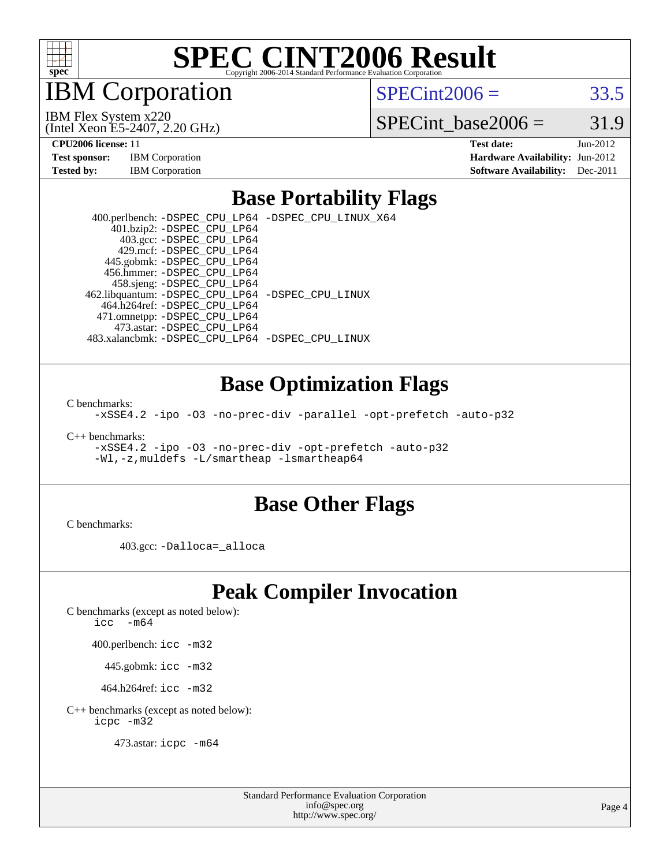

IBM Corporation

 $SPECint2006 = 33.5$  $SPECint2006 = 33.5$ 

(Intel Xeon E5-2407, 2.20 GHz) IBM Flex System x220

SPECint base2006 =  $31.9$ 

**[CPU2006 license:](http://www.spec.org/auto/cpu2006/Docs/result-fields.html#CPU2006license)** 11 **[Test date:](http://www.spec.org/auto/cpu2006/Docs/result-fields.html#Testdate)** Jun-2012 **[Test sponsor:](http://www.spec.org/auto/cpu2006/Docs/result-fields.html#Testsponsor)** IBM Corporation **[Hardware Availability:](http://www.spec.org/auto/cpu2006/Docs/result-fields.html#HardwareAvailability)** Jun-2012 **[Tested by:](http://www.spec.org/auto/cpu2006/Docs/result-fields.html#Testedby)** IBM Corporation **[Software Availability:](http://www.spec.org/auto/cpu2006/Docs/result-fields.html#SoftwareAvailability)** Dec-2011

### **[Base Portability Flags](http://www.spec.org/auto/cpu2006/Docs/result-fields.html#BasePortabilityFlags)**

 400.perlbench: [-DSPEC\\_CPU\\_LP64](http://www.spec.org/cpu2006/results/res2012q3/cpu2006-20120618-23018.flags.html#b400.perlbench_basePORTABILITY_DSPEC_CPU_LP64) [-DSPEC\\_CPU\\_LINUX\\_X64](http://www.spec.org/cpu2006/results/res2012q3/cpu2006-20120618-23018.flags.html#b400.perlbench_baseCPORTABILITY_DSPEC_CPU_LINUX_X64) 401.bzip2: [-DSPEC\\_CPU\\_LP64](http://www.spec.org/cpu2006/results/res2012q3/cpu2006-20120618-23018.flags.html#suite_basePORTABILITY401_bzip2_DSPEC_CPU_LP64) 403.gcc: [-DSPEC\\_CPU\\_LP64](http://www.spec.org/cpu2006/results/res2012q3/cpu2006-20120618-23018.flags.html#suite_basePORTABILITY403_gcc_DSPEC_CPU_LP64) 429.mcf: [-DSPEC\\_CPU\\_LP64](http://www.spec.org/cpu2006/results/res2012q3/cpu2006-20120618-23018.flags.html#suite_basePORTABILITY429_mcf_DSPEC_CPU_LP64) 445.gobmk: [-DSPEC\\_CPU\\_LP64](http://www.spec.org/cpu2006/results/res2012q3/cpu2006-20120618-23018.flags.html#suite_basePORTABILITY445_gobmk_DSPEC_CPU_LP64) 456.hmmer: [-DSPEC\\_CPU\\_LP64](http://www.spec.org/cpu2006/results/res2012q3/cpu2006-20120618-23018.flags.html#suite_basePORTABILITY456_hmmer_DSPEC_CPU_LP64) 458.sjeng: [-DSPEC\\_CPU\\_LP64](http://www.spec.org/cpu2006/results/res2012q3/cpu2006-20120618-23018.flags.html#suite_basePORTABILITY458_sjeng_DSPEC_CPU_LP64) 462.libquantum: [-DSPEC\\_CPU\\_LP64](http://www.spec.org/cpu2006/results/res2012q3/cpu2006-20120618-23018.flags.html#suite_basePORTABILITY462_libquantum_DSPEC_CPU_LP64) [-DSPEC\\_CPU\\_LINUX](http://www.spec.org/cpu2006/results/res2012q3/cpu2006-20120618-23018.flags.html#b462.libquantum_baseCPORTABILITY_DSPEC_CPU_LINUX) 464.h264ref: [-DSPEC\\_CPU\\_LP64](http://www.spec.org/cpu2006/results/res2012q3/cpu2006-20120618-23018.flags.html#suite_basePORTABILITY464_h264ref_DSPEC_CPU_LP64) 471.omnetpp: [-DSPEC\\_CPU\\_LP64](http://www.spec.org/cpu2006/results/res2012q3/cpu2006-20120618-23018.flags.html#suite_basePORTABILITY471_omnetpp_DSPEC_CPU_LP64) 473.astar: [-DSPEC\\_CPU\\_LP64](http://www.spec.org/cpu2006/results/res2012q3/cpu2006-20120618-23018.flags.html#suite_basePORTABILITY473_astar_DSPEC_CPU_LP64) 483.xalancbmk: [-DSPEC\\_CPU\\_LP64](http://www.spec.org/cpu2006/results/res2012q3/cpu2006-20120618-23018.flags.html#suite_basePORTABILITY483_xalancbmk_DSPEC_CPU_LP64) [-DSPEC\\_CPU\\_LINUX](http://www.spec.org/cpu2006/results/res2012q3/cpu2006-20120618-23018.flags.html#b483.xalancbmk_baseCXXPORTABILITY_DSPEC_CPU_LINUX)

### **[Base Optimization Flags](http://www.spec.org/auto/cpu2006/Docs/result-fields.html#BaseOptimizationFlags)**

[C benchmarks](http://www.spec.org/auto/cpu2006/Docs/result-fields.html#Cbenchmarks):

[-xSSE4.2](http://www.spec.org/cpu2006/results/res2012q3/cpu2006-20120618-23018.flags.html#user_CCbase_f-xSSE42_f91528193cf0b216347adb8b939d4107) [-ipo](http://www.spec.org/cpu2006/results/res2012q3/cpu2006-20120618-23018.flags.html#user_CCbase_f-ipo) [-O3](http://www.spec.org/cpu2006/results/res2012q3/cpu2006-20120618-23018.flags.html#user_CCbase_f-O3) [-no-prec-div](http://www.spec.org/cpu2006/results/res2012q3/cpu2006-20120618-23018.flags.html#user_CCbase_f-no-prec-div) [-parallel](http://www.spec.org/cpu2006/results/res2012q3/cpu2006-20120618-23018.flags.html#user_CCbase_f-parallel) [-opt-prefetch](http://www.spec.org/cpu2006/results/res2012q3/cpu2006-20120618-23018.flags.html#user_CCbase_f-opt-prefetch) [-auto-p32](http://www.spec.org/cpu2006/results/res2012q3/cpu2006-20120618-23018.flags.html#user_CCbase_f-auto-p32)

[C++ benchmarks:](http://www.spec.org/auto/cpu2006/Docs/result-fields.html#CXXbenchmarks)

[-xSSE4.2](http://www.spec.org/cpu2006/results/res2012q3/cpu2006-20120618-23018.flags.html#user_CXXbase_f-xSSE42_f91528193cf0b216347adb8b939d4107) [-ipo](http://www.spec.org/cpu2006/results/res2012q3/cpu2006-20120618-23018.flags.html#user_CXXbase_f-ipo) [-O3](http://www.spec.org/cpu2006/results/res2012q3/cpu2006-20120618-23018.flags.html#user_CXXbase_f-O3) [-no-prec-div](http://www.spec.org/cpu2006/results/res2012q3/cpu2006-20120618-23018.flags.html#user_CXXbase_f-no-prec-div) [-opt-prefetch](http://www.spec.org/cpu2006/results/res2012q3/cpu2006-20120618-23018.flags.html#user_CXXbase_f-opt-prefetch) [-auto-p32](http://www.spec.org/cpu2006/results/res2012q3/cpu2006-20120618-23018.flags.html#user_CXXbase_f-auto-p32) [-Wl,-z,muldefs](http://www.spec.org/cpu2006/results/res2012q3/cpu2006-20120618-23018.flags.html#user_CXXbase_link_force_multiple1_74079c344b956b9658436fd1b6dd3a8a) [-L/smartheap -lsmartheap64](http://www.spec.org/cpu2006/results/res2012q3/cpu2006-20120618-23018.flags.html#user_CXXbase_SmartHeap64_5e654037dadeae1fe403ab4b4466e60b)

### **[Base Other Flags](http://www.spec.org/auto/cpu2006/Docs/result-fields.html#BaseOtherFlags)**

[C benchmarks](http://www.spec.org/auto/cpu2006/Docs/result-fields.html#Cbenchmarks):

403.gcc: [-Dalloca=\\_alloca](http://www.spec.org/cpu2006/results/res2012q3/cpu2006-20120618-23018.flags.html#b403.gcc_baseEXTRA_CFLAGS_Dalloca_be3056838c12de2578596ca5467af7f3)

# **[Peak Compiler Invocation](http://www.spec.org/auto/cpu2006/Docs/result-fields.html#PeakCompilerInvocation)**

[C benchmarks \(except as noted below\)](http://www.spec.org/auto/cpu2006/Docs/result-fields.html#Cbenchmarksexceptasnotedbelow):

[icc -m64](http://www.spec.org/cpu2006/results/res2012q3/cpu2006-20120618-23018.flags.html#user_CCpeak_intel_icc_64bit_f346026e86af2a669e726fe758c88044)

400.perlbench: [icc -m32](http://www.spec.org/cpu2006/results/res2012q3/cpu2006-20120618-23018.flags.html#user_peakCCLD400_perlbench_intel_icc_a6a621f8d50482236b970c6ac5f55f93)

445.gobmk: [icc -m32](http://www.spec.org/cpu2006/results/res2012q3/cpu2006-20120618-23018.flags.html#user_peakCCLD445_gobmk_intel_icc_a6a621f8d50482236b970c6ac5f55f93)

464.h264ref: [icc -m32](http://www.spec.org/cpu2006/results/res2012q3/cpu2006-20120618-23018.flags.html#user_peakCCLD464_h264ref_intel_icc_a6a621f8d50482236b970c6ac5f55f93)

[C++ benchmarks \(except as noted below\):](http://www.spec.org/auto/cpu2006/Docs/result-fields.html#CXXbenchmarksexceptasnotedbelow) [icpc -m32](http://www.spec.org/cpu2006/results/res2012q3/cpu2006-20120618-23018.flags.html#user_CXXpeak_intel_icpc_4e5a5ef1a53fd332b3c49e69c3330699)

473.astar: [icpc -m64](http://www.spec.org/cpu2006/results/res2012q3/cpu2006-20120618-23018.flags.html#user_peakCXXLD473_astar_intel_icpc_64bit_fc66a5337ce925472a5c54ad6a0de310)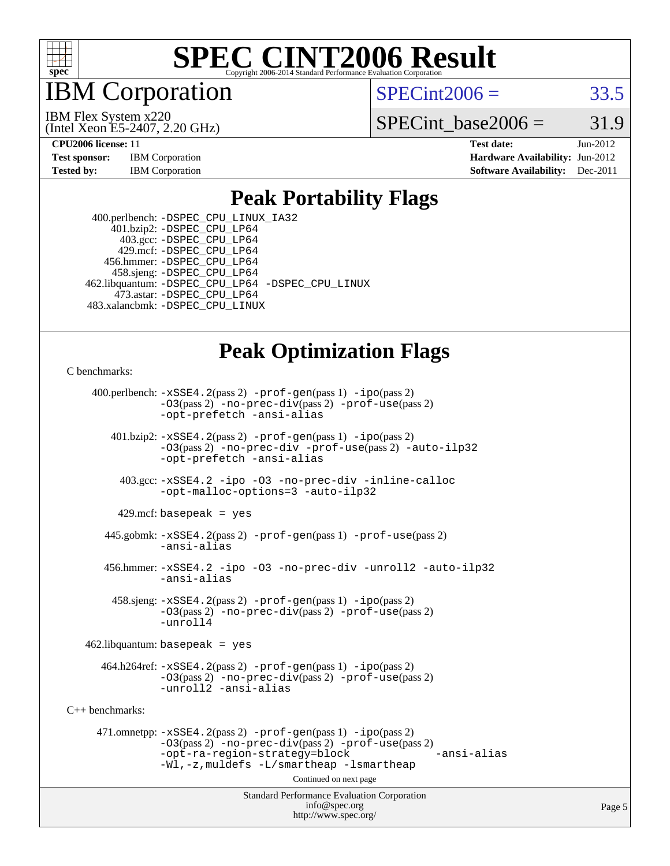

IBM Corporation

 $SPECint2006 = 33.5$  $SPECint2006 = 33.5$ 

(Intel Xeon E5-2407, 2.20 GHz) IBM Flex System x220

SPECint base2006 =  $31.9$ 

**[CPU2006 license:](http://www.spec.org/auto/cpu2006/Docs/result-fields.html#CPU2006license)** 11 **[Test date:](http://www.spec.org/auto/cpu2006/Docs/result-fields.html#Testdate)** Jun-2012 **[Test sponsor:](http://www.spec.org/auto/cpu2006/Docs/result-fields.html#Testsponsor)** IBM Corporation **[Hardware Availability:](http://www.spec.org/auto/cpu2006/Docs/result-fields.html#HardwareAvailability)** Jun-2012 **[Tested by:](http://www.spec.org/auto/cpu2006/Docs/result-fields.html#Testedby)** IBM Corporation **[Software Availability:](http://www.spec.org/auto/cpu2006/Docs/result-fields.html#SoftwareAvailability)** Dec-2011

### **[Peak Portability Flags](http://www.spec.org/auto/cpu2006/Docs/result-fields.html#PeakPortabilityFlags)**

 400.perlbench: [-DSPEC\\_CPU\\_LINUX\\_IA32](http://www.spec.org/cpu2006/results/res2012q3/cpu2006-20120618-23018.flags.html#b400.perlbench_peakCPORTABILITY_DSPEC_CPU_LINUX_IA32) 401.bzip2: [-DSPEC\\_CPU\\_LP64](http://www.spec.org/cpu2006/results/res2012q3/cpu2006-20120618-23018.flags.html#suite_peakPORTABILITY401_bzip2_DSPEC_CPU_LP64) 403.gcc: [-DSPEC\\_CPU\\_LP64](http://www.spec.org/cpu2006/results/res2012q3/cpu2006-20120618-23018.flags.html#suite_peakPORTABILITY403_gcc_DSPEC_CPU_LP64) 429.mcf: [-DSPEC\\_CPU\\_LP64](http://www.spec.org/cpu2006/results/res2012q3/cpu2006-20120618-23018.flags.html#suite_peakPORTABILITY429_mcf_DSPEC_CPU_LP64) 456.hmmer: [-DSPEC\\_CPU\\_LP64](http://www.spec.org/cpu2006/results/res2012q3/cpu2006-20120618-23018.flags.html#suite_peakPORTABILITY456_hmmer_DSPEC_CPU_LP64) 458.sjeng: [-DSPEC\\_CPU\\_LP64](http://www.spec.org/cpu2006/results/res2012q3/cpu2006-20120618-23018.flags.html#suite_peakPORTABILITY458_sjeng_DSPEC_CPU_LP64) 462.libquantum: [-DSPEC\\_CPU\\_LP64](http://www.spec.org/cpu2006/results/res2012q3/cpu2006-20120618-23018.flags.html#suite_peakPORTABILITY462_libquantum_DSPEC_CPU_LP64) [-DSPEC\\_CPU\\_LINUX](http://www.spec.org/cpu2006/results/res2012q3/cpu2006-20120618-23018.flags.html#b462.libquantum_peakCPORTABILITY_DSPEC_CPU_LINUX) 473.astar: [-DSPEC\\_CPU\\_LP64](http://www.spec.org/cpu2006/results/res2012q3/cpu2006-20120618-23018.flags.html#suite_peakPORTABILITY473_astar_DSPEC_CPU_LP64) 483.xalancbmk: [-DSPEC\\_CPU\\_LINUX](http://www.spec.org/cpu2006/results/res2012q3/cpu2006-20120618-23018.flags.html#b483.xalancbmk_peakCXXPORTABILITY_DSPEC_CPU_LINUX)

# **[Peak Optimization Flags](http://www.spec.org/auto/cpu2006/Docs/result-fields.html#PeakOptimizationFlags)**

[C benchmarks](http://www.spec.org/auto/cpu2006/Docs/result-fields.html#Cbenchmarks):

 400.perlbench: [-xSSE4.2](http://www.spec.org/cpu2006/results/res2012q3/cpu2006-20120618-23018.flags.html#user_peakPASS2_CFLAGSPASS2_LDCFLAGS400_perlbench_f-xSSE42_f91528193cf0b216347adb8b939d4107)(pass 2) [-prof-gen](http://www.spec.org/cpu2006/results/res2012q3/cpu2006-20120618-23018.flags.html#user_peakPASS1_CFLAGSPASS1_LDCFLAGS400_perlbench_prof_gen_e43856698f6ca7b7e442dfd80e94a8fc)(pass 1) [-ipo](http://www.spec.org/cpu2006/results/res2012q3/cpu2006-20120618-23018.flags.html#user_peakPASS2_CFLAGSPASS2_LDCFLAGS400_perlbench_f-ipo)(pass 2) [-O3](http://www.spec.org/cpu2006/results/res2012q3/cpu2006-20120618-23018.flags.html#user_peakPASS2_CFLAGSPASS2_LDCFLAGS400_perlbench_f-O3)(pass 2) [-no-prec-div](http://www.spec.org/cpu2006/results/res2012q3/cpu2006-20120618-23018.flags.html#user_peakPASS2_CFLAGSPASS2_LDCFLAGS400_perlbench_f-no-prec-div)(pass 2) [-prof-use](http://www.spec.org/cpu2006/results/res2012q3/cpu2006-20120618-23018.flags.html#user_peakPASS2_CFLAGSPASS2_LDCFLAGS400_perlbench_prof_use_bccf7792157ff70d64e32fe3e1250b55)(pass 2) [-opt-prefetch](http://www.spec.org/cpu2006/results/res2012q3/cpu2006-20120618-23018.flags.html#user_peakCOPTIMIZE400_perlbench_f-opt-prefetch) [-ansi-alias](http://www.spec.org/cpu2006/results/res2012q3/cpu2006-20120618-23018.flags.html#user_peakCOPTIMIZE400_perlbench_f-ansi-alias) 401.bzip2: [-xSSE4.2](http://www.spec.org/cpu2006/results/res2012q3/cpu2006-20120618-23018.flags.html#user_peakPASS2_CFLAGSPASS2_LDCFLAGS401_bzip2_f-xSSE42_f91528193cf0b216347adb8b939d4107)(pass 2) [-prof-gen](http://www.spec.org/cpu2006/results/res2012q3/cpu2006-20120618-23018.flags.html#user_peakPASS1_CFLAGSPASS1_LDCFLAGS401_bzip2_prof_gen_e43856698f6ca7b7e442dfd80e94a8fc)(pass 1) [-ipo](http://www.spec.org/cpu2006/results/res2012q3/cpu2006-20120618-23018.flags.html#user_peakPASS2_CFLAGSPASS2_LDCFLAGS401_bzip2_f-ipo)(pass 2) [-O3](http://www.spec.org/cpu2006/results/res2012q3/cpu2006-20120618-23018.flags.html#user_peakPASS2_CFLAGSPASS2_LDCFLAGS401_bzip2_f-O3)(pass 2) [-no-prec-div](http://www.spec.org/cpu2006/results/res2012q3/cpu2006-20120618-23018.flags.html#user_peakCOPTIMIZEPASS2_CFLAGSPASS2_LDCFLAGS401_bzip2_f-no-prec-div) [-prof-use](http://www.spec.org/cpu2006/results/res2012q3/cpu2006-20120618-23018.flags.html#user_peakPASS2_CFLAGSPASS2_LDCFLAGS401_bzip2_prof_use_bccf7792157ff70d64e32fe3e1250b55)(pass 2) [-auto-ilp32](http://www.spec.org/cpu2006/results/res2012q3/cpu2006-20120618-23018.flags.html#user_peakCOPTIMIZE401_bzip2_f-auto-ilp32) [-opt-prefetch](http://www.spec.org/cpu2006/results/res2012q3/cpu2006-20120618-23018.flags.html#user_peakCOPTIMIZE401_bzip2_f-opt-prefetch) [-ansi-alias](http://www.spec.org/cpu2006/results/res2012q3/cpu2006-20120618-23018.flags.html#user_peakCOPTIMIZE401_bzip2_f-ansi-alias) 403.gcc: [-xSSE4.2](http://www.spec.org/cpu2006/results/res2012q3/cpu2006-20120618-23018.flags.html#user_peakCOPTIMIZE403_gcc_f-xSSE42_f91528193cf0b216347adb8b939d4107) [-ipo](http://www.spec.org/cpu2006/results/res2012q3/cpu2006-20120618-23018.flags.html#user_peakCOPTIMIZE403_gcc_f-ipo) [-O3](http://www.spec.org/cpu2006/results/res2012q3/cpu2006-20120618-23018.flags.html#user_peakCOPTIMIZE403_gcc_f-O3) [-no-prec-div](http://www.spec.org/cpu2006/results/res2012q3/cpu2006-20120618-23018.flags.html#user_peakCOPTIMIZE403_gcc_f-no-prec-div) [-inline-calloc](http://www.spec.org/cpu2006/results/res2012q3/cpu2006-20120618-23018.flags.html#user_peakCOPTIMIZE403_gcc_f-inline-calloc) [-opt-malloc-options=3](http://www.spec.org/cpu2006/results/res2012q3/cpu2006-20120618-23018.flags.html#user_peakCOPTIMIZE403_gcc_f-opt-malloc-options_13ab9b803cf986b4ee62f0a5998c2238) [-auto-ilp32](http://www.spec.org/cpu2006/results/res2012q3/cpu2006-20120618-23018.flags.html#user_peakCOPTIMIZE403_gcc_f-auto-ilp32)  $429$ .mcf: basepeak = yes 445.gobmk: [-xSSE4.2](http://www.spec.org/cpu2006/results/res2012q3/cpu2006-20120618-23018.flags.html#user_peakPASS2_CFLAGSPASS2_LDCFLAGS445_gobmk_f-xSSE42_f91528193cf0b216347adb8b939d4107)(pass 2) [-prof-gen](http://www.spec.org/cpu2006/results/res2012q3/cpu2006-20120618-23018.flags.html#user_peakPASS1_CFLAGSPASS1_LDCFLAGS445_gobmk_prof_gen_e43856698f6ca7b7e442dfd80e94a8fc)(pass 1) [-prof-use](http://www.spec.org/cpu2006/results/res2012q3/cpu2006-20120618-23018.flags.html#user_peakPASS2_CFLAGSPASS2_LDCFLAGS445_gobmk_prof_use_bccf7792157ff70d64e32fe3e1250b55)(pass 2) [-ansi-alias](http://www.spec.org/cpu2006/results/res2012q3/cpu2006-20120618-23018.flags.html#user_peakCOPTIMIZE445_gobmk_f-ansi-alias) 456.hmmer: [-xSSE4.2](http://www.spec.org/cpu2006/results/res2012q3/cpu2006-20120618-23018.flags.html#user_peakCOPTIMIZE456_hmmer_f-xSSE42_f91528193cf0b216347adb8b939d4107) [-ipo](http://www.spec.org/cpu2006/results/res2012q3/cpu2006-20120618-23018.flags.html#user_peakCOPTIMIZE456_hmmer_f-ipo) [-O3](http://www.spec.org/cpu2006/results/res2012q3/cpu2006-20120618-23018.flags.html#user_peakCOPTIMIZE456_hmmer_f-O3) [-no-prec-div](http://www.spec.org/cpu2006/results/res2012q3/cpu2006-20120618-23018.flags.html#user_peakCOPTIMIZE456_hmmer_f-no-prec-div) [-unroll2](http://www.spec.org/cpu2006/results/res2012q3/cpu2006-20120618-23018.flags.html#user_peakCOPTIMIZE456_hmmer_f-unroll_784dae83bebfb236979b41d2422d7ec2) [-auto-ilp32](http://www.spec.org/cpu2006/results/res2012q3/cpu2006-20120618-23018.flags.html#user_peakCOPTIMIZE456_hmmer_f-auto-ilp32) [-ansi-alias](http://www.spec.org/cpu2006/results/res2012q3/cpu2006-20120618-23018.flags.html#user_peakCOPTIMIZE456_hmmer_f-ansi-alias) 458.sjeng: [-xSSE4.2](http://www.spec.org/cpu2006/results/res2012q3/cpu2006-20120618-23018.flags.html#user_peakPASS2_CFLAGSPASS2_LDCFLAGS458_sjeng_f-xSSE42_f91528193cf0b216347adb8b939d4107)(pass 2) [-prof-gen](http://www.spec.org/cpu2006/results/res2012q3/cpu2006-20120618-23018.flags.html#user_peakPASS1_CFLAGSPASS1_LDCFLAGS458_sjeng_prof_gen_e43856698f6ca7b7e442dfd80e94a8fc)(pass 1) [-ipo](http://www.spec.org/cpu2006/results/res2012q3/cpu2006-20120618-23018.flags.html#user_peakPASS2_CFLAGSPASS2_LDCFLAGS458_sjeng_f-ipo)(pass 2) [-O3](http://www.spec.org/cpu2006/results/res2012q3/cpu2006-20120618-23018.flags.html#user_peakPASS2_CFLAGSPASS2_LDCFLAGS458_sjeng_f-O3)(pass 2) [-no-prec-div](http://www.spec.org/cpu2006/results/res2012q3/cpu2006-20120618-23018.flags.html#user_peakPASS2_CFLAGSPASS2_LDCFLAGS458_sjeng_f-no-prec-div)(pass 2) [-prof-use](http://www.spec.org/cpu2006/results/res2012q3/cpu2006-20120618-23018.flags.html#user_peakPASS2_CFLAGSPASS2_LDCFLAGS458_sjeng_prof_use_bccf7792157ff70d64e32fe3e1250b55)(pass 2) [-unroll4](http://www.spec.org/cpu2006/results/res2012q3/cpu2006-20120618-23018.flags.html#user_peakCOPTIMIZE458_sjeng_f-unroll_4e5e4ed65b7fd20bdcd365bec371b81f)  $462$ .libquantum: basepeak = yes  $464.h264 \text{ref}: -x \text{SSE4}.2(\text{pass 2}) - \text{prof-qen}(\text{pass 1}) - \text{ipo}(\text{pass 2})$ [-O3](http://www.spec.org/cpu2006/results/res2012q3/cpu2006-20120618-23018.flags.html#user_peakPASS2_CFLAGSPASS2_LDCFLAGS464_h264ref_f-O3)(pass 2) [-no-prec-div](http://www.spec.org/cpu2006/results/res2012q3/cpu2006-20120618-23018.flags.html#user_peakPASS2_CFLAGSPASS2_LDCFLAGS464_h264ref_f-no-prec-div)(pass 2) [-prof-use](http://www.spec.org/cpu2006/results/res2012q3/cpu2006-20120618-23018.flags.html#user_peakPASS2_CFLAGSPASS2_LDCFLAGS464_h264ref_prof_use_bccf7792157ff70d64e32fe3e1250b55)(pass 2) [-unroll2](http://www.spec.org/cpu2006/results/res2012q3/cpu2006-20120618-23018.flags.html#user_peakCOPTIMIZE464_h264ref_f-unroll_784dae83bebfb236979b41d2422d7ec2) [-ansi-alias](http://www.spec.org/cpu2006/results/res2012q3/cpu2006-20120618-23018.flags.html#user_peakCOPTIMIZE464_h264ref_f-ansi-alias) [C++ benchmarks:](http://www.spec.org/auto/cpu2006/Docs/result-fields.html#CXXbenchmarks) 471.omnetpp: [-xSSE4.2](http://www.spec.org/cpu2006/results/res2012q3/cpu2006-20120618-23018.flags.html#user_peakPASS2_CXXFLAGSPASS2_LDCXXFLAGS471_omnetpp_f-xSSE42_f91528193cf0b216347adb8b939d4107)(pass 2) [-prof-gen](http://www.spec.org/cpu2006/results/res2012q3/cpu2006-20120618-23018.flags.html#user_peakPASS1_CXXFLAGSPASS1_LDCXXFLAGS471_omnetpp_prof_gen_e43856698f6ca7b7e442dfd80e94a8fc)(pass 1) [-ipo](http://www.spec.org/cpu2006/results/res2012q3/cpu2006-20120618-23018.flags.html#user_peakPASS2_CXXFLAGSPASS2_LDCXXFLAGS471_omnetpp_f-ipo)(pass 2) [-O3](http://www.spec.org/cpu2006/results/res2012q3/cpu2006-20120618-23018.flags.html#user_peakPASS2_CXXFLAGSPASS2_LDCXXFLAGS471_omnetpp_f-O3)(pass 2) [-no-prec-div](http://www.spec.org/cpu2006/results/res2012q3/cpu2006-20120618-23018.flags.html#user_peakPASS2_CXXFLAGSPASS2_LDCXXFLAGS471_omnetpp_f-no-prec-div)(pass 2) [-prof-use](http://www.spec.org/cpu2006/results/res2012q3/cpu2006-20120618-23018.flags.html#user_peakPASS2_CXXFLAGSPASS2_LDCXXFLAGS471_omnetpp_prof_use_bccf7792157ff70d64e32fe3e1250b55)(pass 2) [-opt-ra-region-strategy=block](http://www.spec.org/cpu2006/results/res2012q3/cpu2006-20120618-23018.flags.html#user_peakCXXOPTIMIZE471_omnetpp_f-opt-ra-region-strategy_5382940c29ea30302d682fc74bfe0147) [-ansi-alias](http://www.spec.org/cpu2006/results/res2012q3/cpu2006-20120618-23018.flags.html#user_peakCXXOPTIMIZE471_omnetpp_f-ansi-alias) [-Wl,-z,muldefs](http://www.spec.org/cpu2006/results/res2012q3/cpu2006-20120618-23018.flags.html#user_peakEXTRA_LDFLAGS471_omnetpp_link_force_multiple1_74079c344b956b9658436fd1b6dd3a8a) [-L/smartheap -lsmartheap](http://www.spec.org/cpu2006/results/res2012q3/cpu2006-20120618-23018.flags.html#user_peakEXTRA_LIBS471_omnetpp_SmartHeap_7c9e394a5779e1a7fec7c221e123830c) Continued on next page